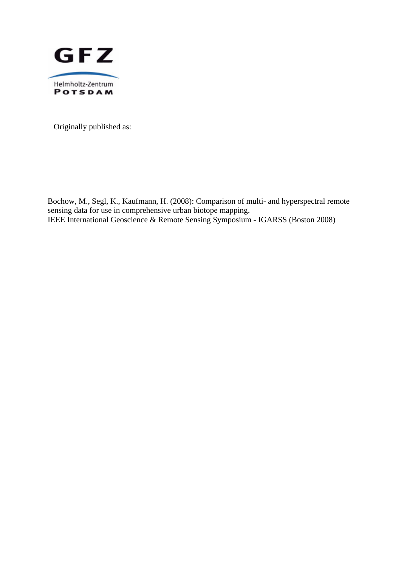

Originally published as:

Bochow, M., Segl, K., Kaufmann, H. (2008): Comparison of multi- and hyperspectral remote sensing data for use in comprehensive urban biotope mapping. IEEE International Geoscience & Remote Sensing Symposium - IGARSS (Boston 2008)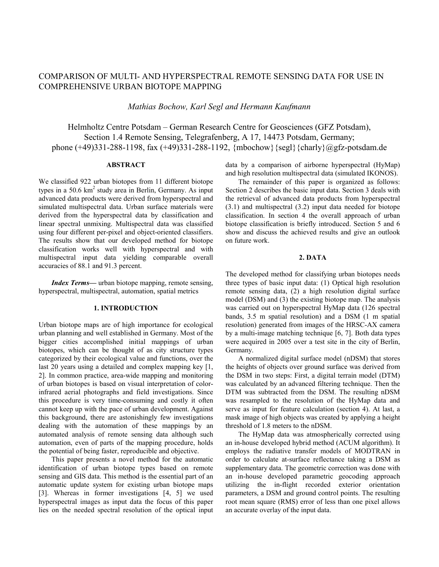# COMPARISON OF MULTI- AND HYPERSPECTRAL REMOTE SENSING DATA FOR USE IN COMPREHENSIVE URBAN BIOTOPE MAPPING

*Mathias Bochow, Karl Segl and Hermann Kaufmann* 

Helmholtz Centre Potsdam – German Research Centre for Geosciences (GFZ Potsdam), Section 1.4 Remote Sensing, Telegrafenberg, A 17, 14473 Potsdam, Germany; phone (+49)331-288-1198, fax (+49)331-288-1192, {mbochow}{segl}{charly}@gfz-potsdam.de

# **ABSTRACT**

We classified 922 urban biotopes from 11 different biotope types in a 50.6 km<sup>2</sup> study area in Berlin, Germany. As input advanced data products were derived from hyperspectral and simulated multispectral data. Urban surface materials were derived from the hyperspectral data by classification and linear spectral unmixing. Multispectral data was classified using four different per-pixel and object-oriented classifiers. The results show that our developed method for biotope classification works well with hyperspectral and with multispectral input data yielding comparable overall accuracies of 88.1 and 91.3 percent.

*Index Terms—* urban biotope mapping, remote sensing, hyperspectral, multispectral, automation, spatial metrics

#### **1. INTRODUCTION**

Urban biotope maps are of high importance for ecological urban planning and well established in Germany. Most of the bigger cities accomplished initial mappings of urban biotopes, which can be thought of as city structure types categorized by their ecological value and functions, over the last 20 years using a detailed and complex mapping key [1, 2]. In common practice, area-wide mapping and monitoring of urban biotopes is based on visual interpretation of colorinfrared aerial photographs and field investigations. Since this procedure is very time-consuming and costly it often cannot keep up with the pace of urban development. Against this background, there are astonishingly few investigations dealing with the automation of these mappings by an automated analysis of remote sensing data although such automation, even of parts of the mapping procedure, holds the potential of being faster, reproducible and objective.

This paper presents a novel method for the automatic identification of urban biotope types based on remote sensing and GIS data. This method is the essential part of an automatic update system for existing urban biotope maps [3]. Whereas in former investigations [4, 5] we used hyperspectral images as input data the focus of this paper lies on the needed spectral resolution of the optical input data by a comparison of airborne hyperspectral (HyMap) and high resolution multispectral data (simulated IKONOS).

The remainder of this paper is organized as follows: Section 2 describes the basic input data. Section 3 deals with the retrieval of advanced data products from hyperspectral (3.1) and multispectral (3.2) input data needed for biotope classification. In section 4 the overall approach of urban biotope classification is briefly introduced. Section 5 and 6 show and discuss the achieved results and give an outlook on future work.

#### **2. DATA**

The developed method for classifying urban biotopes needs three types of basic input data: (1) Optical high resolution remote sensing data, (2) a high resolution digital surface model (DSM) and (3) the existing biotope map. The analysis was carried out on hyperspectral HyMap data (126 spectral bands, 3.5 m spatial resolution) and a DSM (1 m spatial resolution) generated from images of the HRSC-AX camera by a multi-image matching technique [6, 7]. Both data types were acquired in 2005 over a test site in the city of Berlin, Germany.

A normalized digital surface model (nDSM) that stores the heights of objects over ground surface was derived from the DSM in two steps: First, a digital terrain model (DTM) was calculated by an advanced filtering technique. Then the DTM was subtracted from the DSM. The resulting nDSM was resampled to the resolution of the HyMap data and serve as input for feature calculation (section 4). At last, a mask image of high objects was created by applying a height threshold of 1.8 meters to the nDSM.

The HyMap data was atmospherically corrected using an in-house developed hybrid method (ACUM algorithm). It employs the radiative transfer models of MODTRAN in order to calculate at-surface reflectance taking a DSM as supplementary data. The geometric correction was done with an in-house developed parametric geocoding approach utilizing the in-flight recorded exterior orientation parameters, a DSM and ground control points. The resulting root mean square (RMS) error of less than one pixel allows an accurate overlay of the input data.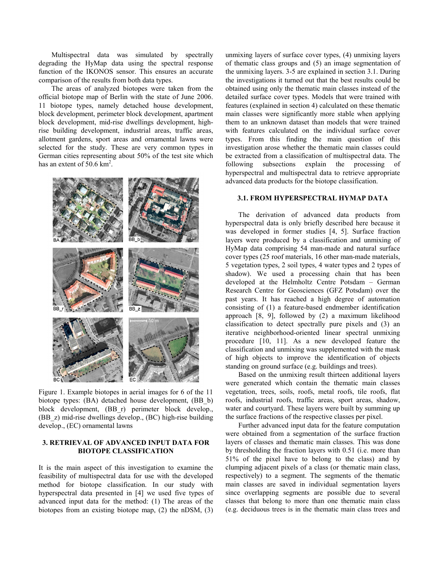Multispectral data was simulated by spectrally degrading the HyMap data using the spectral response function of the IKONOS sensor. This ensures an accurate comparison of the results from both data types.

The areas of analyzed biotopes were taken from the official biotope map of Berlin with the state of June 2006. 11 biotope types, namely detached house development, block development, perimeter block development, apartment block development, mid-rise dwellings development, highrise building development, industrial areas, traffic areas, allotment gardens, sport areas and ornamental lawns were selected for the study. These are very common types in German cities representing about 50% of the test site which has an extent of  $50.6 \text{ km}^2$ .



Figure 1. Example biotopes in aerial images for 6 of the 11 biotope types: (BA) detached house development, (BB\_b) block development, (BB\_r) perimeter block develop., (BB\_z) mid-rise dwellings develop., (BC) high-rise building develop., (EC) ornamental lawns

### **3. RETRIEVAL OF ADVANCED INPUT DATA FOR BIOTOPE CLASSIFICATION**

It is the main aspect of this investigation to examine the feasibility of multispectral data for use with the developed method for biotope classification. In our study with hyperspectral data presented in [4] we used five types of advanced input data for the method: (1) The areas of the biotopes from an existing biotope map, (2) the nDSM, (3)

unmixing layers of surface cover types, (4) unmixing layers of thematic class groups and (5) an image segmentation of the unmixing layers. 3-5 are explained in section 3.1. During the investigations it turned out that the best results could be obtained using only the thematic main classes instead of the detailed surface cover types. Models that were trained with features (explained in section 4) calculated on these thematic main classes were significantly more stable when applying them to an unknown dataset than models that were trained with features calculated on the individual surface cover types. From this finding the main question of this investigation arose whether the thematic main classes could be extracted from a classification of multispectral data. The following subsections explain the processing of hyperspectral and multispectral data to retrieve appropriate advanced data products for the biotope classification.

## **3.1. FROM HYPERSPECTRAL HYMAP DATA**

The derivation of advanced data products from hyperspectral data is only briefly described here because it was developed in former studies [4, 5]. Surface fraction layers were produced by a classification and unmixing of HyMap data comprising 54 man-made and natural surface cover types (25 roof materials, 16 other man-made materials, 5 vegetation types, 2 soil types, 4 water types and 2 types of shadow). We used a processing chain that has been developed at the Helmholtz Centre Potsdam – German Research Centre for Geosciences (GFZ Potsdam) over the past years. It has reached a high degree of automation consisting of (1) a feature-based endmember identification approach [8, 9], followed by (2) a maximum likelihood classification to detect spectrally pure pixels and (3) an iterative neighborhood-oriented linear spectral unmixing procedure [10, 11]. As a new developed feature the classification and unmixing was supplemented with the mask of high objects to improve the identification of objects standing on ground surface (e.g. buildings and trees).

Based on the unmixing result thirteen additional layers were generated which contain the thematic main classes vegetation, trees, soils, roofs, metal roofs, tile roofs, flat roofs, industrial roofs, traffic areas, sport areas, shadow, water and courtyard. These layers were built by summing up the surface fractions of the respective classes per pixel.

Further advanced input data for the feature computation were obtained from a segmentation of the surface fraction layers of classes and thematic main classes. This was done by thresholding the fraction layers with 0.51 (i.e. more than 51% of the pixel have to belong to the class) and by clumping adjacent pixels of a class (or thematic main class, respectively) to a segment. The segments of the thematic main classes are saved in individual segmentation layers since overlapping segments are possible due to several classes that belong to more than one thematic main class (e.g. deciduous trees is in the thematic main class trees and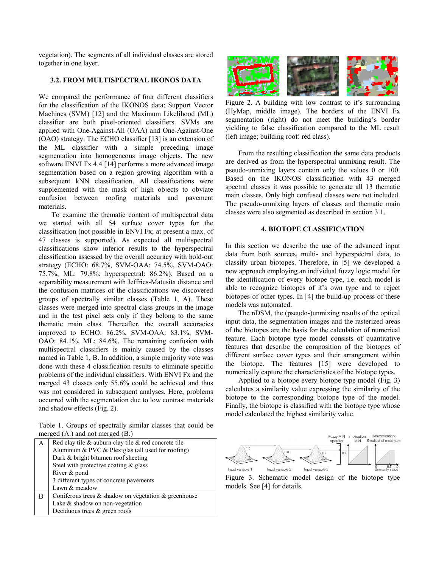vegetation). The segments of all individual classes are stored together in one layer.

# **3.2. FROM MULTISPECTRAL IKONOS DATA**

We compared the performance of four different classifiers for the classification of the IKONOS data: Support Vector Machines (SVM) [12] and the Maximum Likelihood (ML) classifier are both pixel-oriented classifiers. SVMs are applied with One-Against-All (OAA) and One-Against-One (OAO) strategy. The ECHO classifier [13] is an extension of the ML classifier with a simple preceding image segmentation into homogeneous image objects. The new software ENVI Fx 4.4 [14] performs a more advanced image segmentation based on a region growing algorithm with a subsequent kNN classification. All classifications were supplemented with the mask of high objects to obviate confusion between roofing materials and pavement materials.

To examine the thematic content of multispectral data we started with all 54 surface cover types for the classification (not possible in ENVI Fx; at present a max. of 47 classes is supported). As expected all multispectral classifications show inferior results to the hyperspectral classification assessed by the overall accuracy with hold-out strategy (ECHO: 68.7%, SVM-OAA: 74.5%, SVM-OAO: 75.7%, ML: 79.8%; hyperspectral: 86.2%). Based on a separability measurement with Jeffries-Matusita distance and the confusion matrices of the classifications we discovered groups of spectrally similar classes (Table 1, A). These classes were merged into spectral class groups in the image and in the test pixel sets only if they belong to the same thematic main class. Thereafter, the overall accuracies improved to ECHO: 86.2%, SVM-OAA: 83.1%, SVM-OAO: 84.1%, ML: 84.6%. The remaining confusion with multispectral classifiers is mainly caused by the classes named in Table 1, B. In addition, a simple majority vote was done with these 4 classification results to eliminate specific problems of the individual classifiers. With ENVI Fx and the merged 43 classes only 55.6% could be achieved and thus was not considered in subsequent analyses. Here, problems occurred with the segmentation due to low contrast materials and shadow effects (Fig. 2).

Table 1. Groups of spectrally similar classes that could be merged (A.) and not merged (B.)

|   | Red clay tile $\&$ auburn clay tile $\&$ red concrete tile |
|---|------------------------------------------------------------|
|   | Aluminum & PVC & Plexiglas (all used for roofing)          |
|   | Dark & bright bitumen roof sheeting                        |
|   | Steel with protective coating $\&$ glass                   |
|   | River & pond                                               |
|   | 3 different types of concrete payements                    |
|   | Lawn & meadow                                              |
| В | Coniferous trees $\&$ shadow on vegetation $\&$ greenhouse |
|   | Lake $&$ shadow on non-vegetation                          |
|   | Deciduous trees $\&$ green roofs                           |



Figure 2. A building with low contrast to it's surrounding (HyMap, middle image). The borders of the ENVI Fx segmentation (right) do not meet the building's border yielding to false classification compared to the ML result (left image; building roof: red class).

From the resulting classification the same data products are derived as from the hyperspectral unmixing result. The pseudo-unmixing layers contain only the values 0 or 100. Based on the IKONOS classification with 43 merged spectral classes it was possible to generate all 13 thematic main classes. Only high confused classes were not included. The pseudo-unmixing layers of classes and thematic main classes were also segmented as described in section 3.1.

#### **4. BIOTOPE CLASSIFICATION**

In this section we describe the use of the advanced input data from both sources, multi- and hyperspectral data, to classify urban biotopes. Therefore, in [5] we developed a new approach employing an individual fuzzy logic model for the identification of every biotope type, i.e. each model is able to recognize biotopes of it's own type and to reject biotopes of other types. In [4] the build-up process of these models was automated.

The nDSM, the (pseudo-)unmixing results of the optical input data, the segmentation images and the rasterized areas of the biotopes are the basis for the calculation of numerical feature. Each biotope type model consists of quantitative features that describe the composition of the biotopes of different surface cover types and their arrangement within the biotope. The features [15] were developed to numerically capture the characteristics of the biotope types.

Applied to a biotope every biotope type model (Fig. 3) calculates a similarity value expressing the similarity of the biotope to the corresponding biotope type of the model. Finally, the biotope is classified with the biotope type whose model calculated the highest similarity value.



Figure 3. Schematic model design of the biotope type models. See [4] for details.